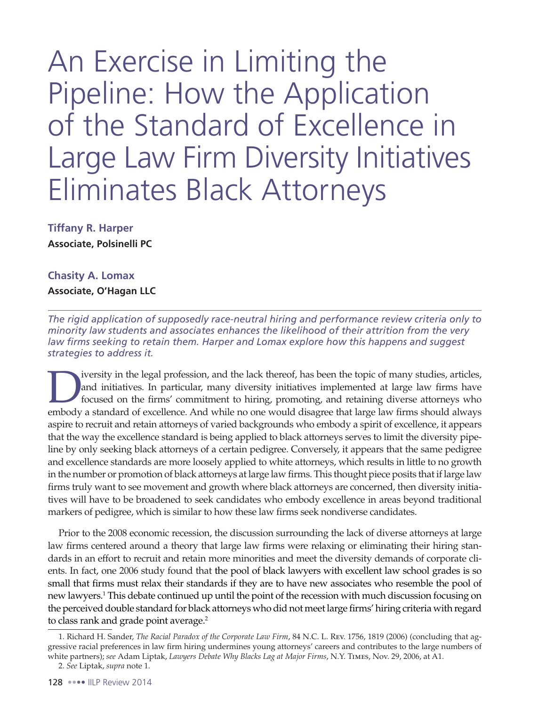An Exercise in Limiting the Pipeline: How the Application of the Standard of Excellence in Large Law Firm Diversity Initiatives Eliminates Black Attorneys

**Tiffany R. Harper Associate, Polsinelli PC** 

## **Chasity A. Lomax Associate, O'Hagan LLC**

*The rigid application of supposedly race-neutral hiring and performance review criteria only to minority law students and associates enhances the likelihood of their attrition from the very*  law firms seeking to retain them. Harper and Lomax explore how this happens and suggest *strategies to address it.*

I versity in the legal profession, and the lack thereof, has been the topic of many studies, articles, and initiatives. In particular, many diversity initiatives implemented at large law firms have focused on the firms' co and initiatives. In particular, many diversity initiatives implemented at large law firms have focused on the firms' commitment to hiring, promoting, and retaining diverse attorneys who embody a standard of excellence. And while no one would disagree that large law firms should always aspire to recruit and retain attorneys of varied backgrounds who embody a spirit of excellence, it appears that the way the excellence standard is being applied to black attorneys serves to limit the diversity pipeline by only seeking black attorneys of a certain pedigree. Conversely, it appears that the same pedigree and excellence standards are more loosely applied to white attorneys, which results in little to no growth in the number or promotion of black attorneys at large law firms. This thought piece posits that if large law firms truly want to see movement and growth where black attorneys are concerned, then diversity initiatives will have to be broadened to seek candidates who embody excellence in areas beyond traditional markers of pedigree, which is similar to how these law firms seek nondiverse candidates.

Prior to the 2008 economic recession, the discussion surrounding the lack of diverse attorneys at large law firms centered around a theory that large law firms were relaxing or eliminating their hiring standards in an effort to recruit and retain more minorities and meet the diversity demands of corporate clients. In fact, one 2006 study found that the pool of black lawyers with excellent law school grades is so small that firms must relax their standards if they are to have new associates who resemble the pool of new lawyers.1 This debate continued up until the point of the recession with much discussion focusing on the perceived double standard for black attorneys who did not meet large firms' hiring criteria with regard to class rank and grade point average.<sup>2</sup>

<sup>1.</sup> Richard H. Sander, *The Racial Paradox of the Corporate Law Firm*, 84 N.C. L. Rev. 1756, 1819 (2006) (concluding that aggressive racial preferences in law firm hiring undermines young attorneys' careers and contributes to the large numbers of white partners); *see* Adam Liptak, *Lawyers Debate Why Blacks Lag at Major Firms*, N.Y. Times, Nov. 29, 2006, at A1.

<sup>2.</sup> *See* Liptak, *supra* note 1.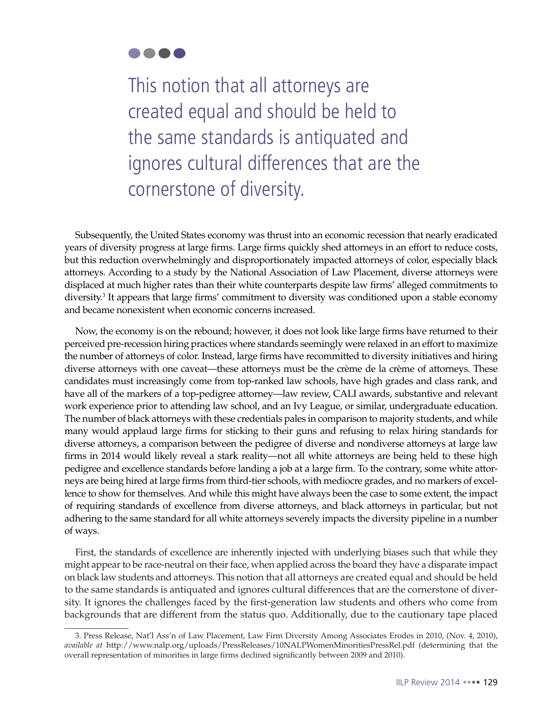

This notion that all attorneys are created equal and should be held to the same standards is antiquated and ignores cultural differences that are the cornerstone of diversity.

Subsequently, the United States economy was thrust into an economic recession that nearly eradicated years of diversity progress at large firms. Large firms quickly shed attorneys in an effort to reduce costs, but this reduction overwhelmingly and disproportionately impacted attorneys of color, especially black attorneys. According to a study by the National Association of Law Placement, diverse attorneys were displaced at much higher rates than their white counterparts despite law firms' alleged commitments to diversity.<sup>3</sup> It appears that large firms' commitment to diversity was conditioned upon a stable economy and became nonexistent when economic concerns increased.

Now, the economy is on the rebound; however, it does not look like large firms have returned to their perceived pre-recession hiring practices where standards seemingly were relaxed in an effort to maximize the number of attorneys of color. Instead, large firms have recommitted to diversity initiatives and hiring diverse attorneys with one caveat—these attorneys must be the crème de la crème of attorneys. These candidates must increasingly come from top-ranked law schools, have high grades and class rank, and have all of the markers of a top-pedigree attorney—law review, CALI awards, substantive and relevant work experience prior to attending law school, and an Ivy League, or similar, undergraduate education. The number of black attorneys with these credentials pales in comparison to majority students, and while many would applaud large firms for sticking to their guns and refusing to relax hiring standards for diverse attorneys, a comparison between the pedigree of diverse and nondiverse attorneys at large law firms in 2014 would likely reveal a stark reality—not all white attorneys are being held to these high pedigree and excellence standards before landing a job at a large firm. To the contrary, some white attorneys are being hired at large firms from third-tier schools, with mediocre grades, and no markers of excellence to show for themselves. And while this might have always been the case to some extent, the impact of requiring standards of excellence from diverse attorneys, and black attorneys in particular, but not adhering to the same standard for all white attorneys severely impacts the diversity pipeline in a number of ways.

First, the standards of excellence are inherently injected with underlying biases such that while they might appear to be race-neutral on their face, when applied across the board they have a disparate impact on black law students and attorneys. This notion that all attorneys are created equal and should be held to the same standards is antiquated and ignores cultural differences that are the cornerstone of diversity. It ignores the challenges faced by the first-generation law students and others who come from backgrounds that are different from the status quo. Additionally, due to the cautionary tape placed

<sup>3.</sup> Press Release, Nat'l Ass'n of Law Placement, Law Firm Diversity Among Associates Erodes in 2010, (Nov. 4, 2010), *available at* http://www.nalp.org/uploads/PressReleases/10NALPWomenMinoritiesPressRel.pdf (determining that the overall representation of minorities in large firms declined significantly between 2009 and 2010).